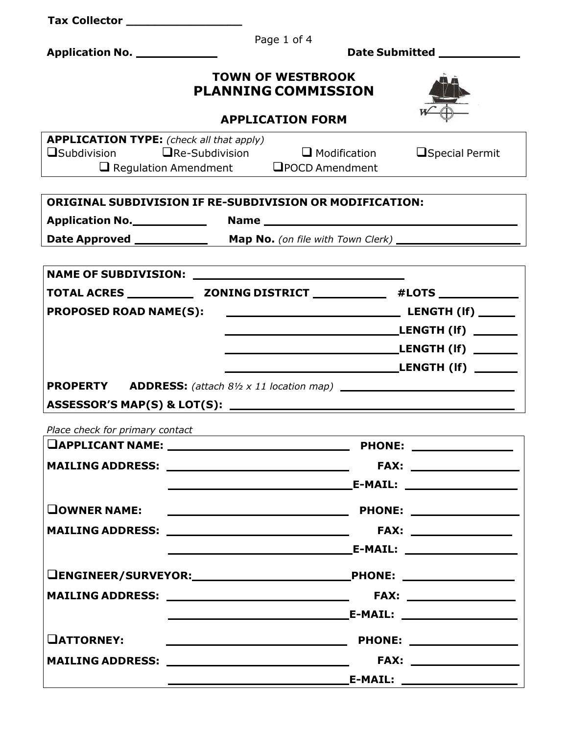| Tax Collector ______________________            |                                                                                                  |  |  |  |  |
|-------------------------------------------------|--------------------------------------------------------------------------------------------------|--|--|--|--|
| Application No. _____________                   | Page 1 of 4<br>Date Submitted _____________                                                      |  |  |  |  |
|                                                 |                                                                                                  |  |  |  |  |
|                                                 | <b>TOWN OF WESTBROOK</b><br><b>PLANNING COMMISSION</b>                                           |  |  |  |  |
| <b>APPLICATION FORM</b>                         |                                                                                                  |  |  |  |  |
| <b>APPLICATION TYPE:</b> (check all that apply) | $\square$ Subdivision $\square$ Re-Subdivision $\square$ Modification<br><b>O</b> Special Permit |  |  |  |  |
|                                                 | $\Box$ Regulation Amendment $\Box$ POCD Amendment                                                |  |  |  |  |
|                                                 |                                                                                                  |  |  |  |  |
|                                                 | <b>ORIGINAL SUBDIVISION IF RE-SUBDIVISION OR MODIFICATION:</b>                                   |  |  |  |  |
|                                                 |                                                                                                  |  |  |  |  |
|                                                 |                                                                                                  |  |  |  |  |
|                                                 |                                                                                                  |  |  |  |  |
|                                                 |                                                                                                  |  |  |  |  |
| <b>PROPOSED ROAD NAME(S):</b>                   |                                                                                                  |  |  |  |  |
|                                                 |                                                                                                  |  |  |  |  |
|                                                 |                                                                                                  |  |  |  |  |
|                                                 |                                                                                                  |  |  |  |  |
|                                                 | <b>PROPERTY</b> ADDRESS: (attach 8½ x 11 location map) _______________________________           |  |  |  |  |
|                                                 |                                                                                                  |  |  |  |  |
| Place check for primary contact                 |                                                                                                  |  |  |  |  |
|                                                 |                                                                                                  |  |  |  |  |
|                                                 | MAILING ADDRESS: _______________________________                                                 |  |  |  |  |
|                                                 |                                                                                                  |  |  |  |  |
| <b>OWNER NAME:</b>                              |                                                                                                  |  |  |  |  |
|                                                 |                                                                                                  |  |  |  |  |
|                                                 |                                                                                                  |  |  |  |  |
|                                                 |                                                                                                  |  |  |  |  |
|                                                 |                                                                                                  |  |  |  |  |
|                                                 |                                                                                                  |  |  |  |  |
|                                                 |                                                                                                  |  |  |  |  |
| <b>OATTORNEY:</b>                               |                                                                                                  |  |  |  |  |
|                                                 | MAILING ADDRESS: ________________________________                                                |  |  |  |  |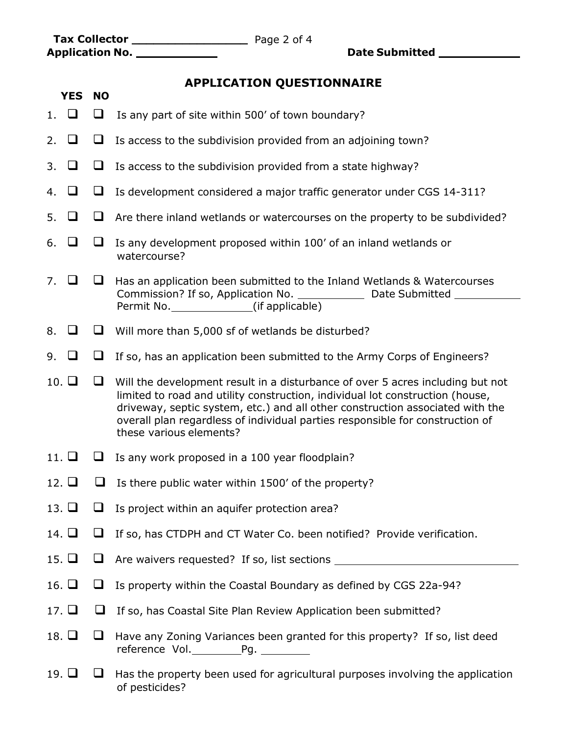Page 2 of 4 **Tax Collector \_\_\_\_\_\_\_\_\_\_\_\_\_\_\_\_**

**YES NO**

**Application No. Date Submitted** 

## **APPLICATION QUESTIONNAIRE**

- 1.  $\Box$   $\Box$  Is any part of site within 500' of town boundary?
- 2.  $\Box$   $\Box$  Is access to the subdivision provided from an adjoining town?
- 3.  $\Box$   $\Box$  Is access to the subdivision provided from a state highway?
- 4.  $\Box$   $\Box$  Is development considered a major traffic generator under CGS 14-311?
- 5.  $\Box$   $\Box$  Are there inland wetlands or watercourses on the property to be subdivided?
- 6.  $\Box$   $\Box$  Is any development proposed within 100' of an inland wetlands or watercourse?
- 7.  $\Box$   $\Box$  Has an application been submitted to the Inland Wetlands & Watercourses Commission? If so, Application No. Date Submitted Permit No. \_\_\_\_\_\_\_\_\_\_\_\_\_\_\_\_(if applicable)
- 8.  $\Box$   $\Box$  Will more than 5,000 sf of wetlands be disturbed?
- 9.  $\Box$   $\Box$  If so, has an application been submitted to the Army Corps of Engineers?

10.  $\Box$   $\Box$  Will the development result in a disturbance of over 5 acres including but not limited to road and utility construction, individual lot construction (house, driveway, septic system, etc.) and all other construction associated with the overall plan regardless of individual parties responsible for construction of these various elements?

- 11.  $\Box$   $\Box$  Is any work proposed in a 100 year floodplain?
- 12.  $\Box$  Is there public water within 1500' of the property?
- 13.  $\Box$   $\Box$  Is project within an aquifer protection area?
- 14.  $\Box$   $\Box$  If so, has CTDPH and CT Water Co. been notified? Provide verification.
- 15.  $\Box$   $\Box$  Are waivers requested? If so, list sections  $\Box$
- 16.  $\Box$   $\Box$  Is property within the Coastal Boundary as defined by CGS 22a-94?
- 17.  $\Box$   $\Box$  If so, has Coastal Site Plan Review Application been submitted?
- 18.  $\Box$   $\Box$  Have any Zoning Variances been granted for this property? If so, list deed reference Vol. Pg.
- 19.  $\Box$  Has the property been used for agricultural purposes involving the application of pesticides?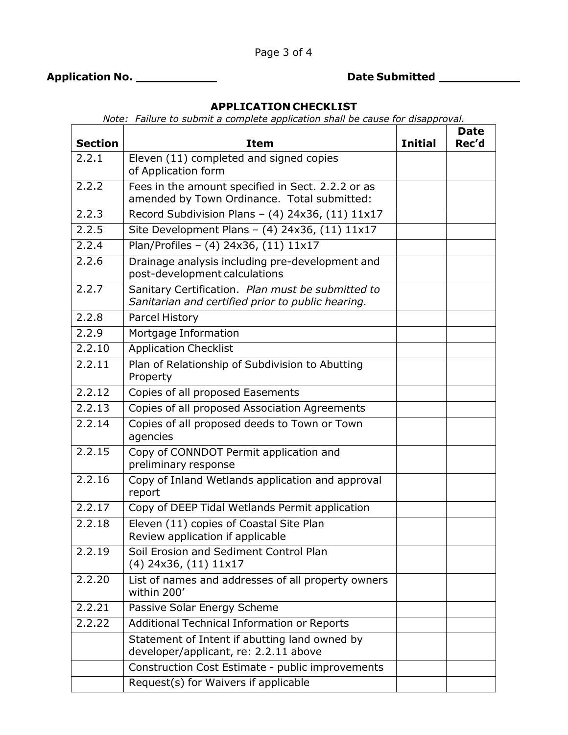**Application No. Date Submitted** 

 $\blacksquare$ 

**Date**

## **APPLICATION CHECKLIST**

*Note: Failure to submit a complete application shall be cause for disapproval.* 

| <b>Section</b>         | <b>Item</b>                                                                                            | <b>Initial</b> | Date<br>Rec'd |  |
|------------------------|--------------------------------------------------------------------------------------------------------|----------------|---------------|--|
| 2.2.1                  | Eleven (11) completed and signed copies<br>of Application form                                         |                |               |  |
| 2.2.2                  | Fees in the amount specified in Sect. 2.2.2 or as<br>amended by Town Ordinance. Total submitted:       |                |               |  |
| 2.2.3                  | Record Subdivision Plans - $(4)$ 24x36, $(11)$ 11x17                                                   |                |               |  |
| 2.2.5                  | Site Development Plans - (4) 24x36, (11) 11x17                                                         |                |               |  |
| 2.2.4                  | Plan/Profiles - (4) 24x36, (11) 11x17                                                                  |                |               |  |
| 2.2.6                  | Drainage analysis including pre-development and<br>post-development calculations                       |                |               |  |
| 2.2.7                  | Sanitary Certification. Plan must be submitted to<br>Sanitarian and certified prior to public hearing. |                |               |  |
| 2.2.8                  | <b>Parcel History</b>                                                                                  |                |               |  |
| 2.2.9                  | Mortgage Information                                                                                   |                |               |  |
| 2.2.10                 | <b>Application Checklist</b>                                                                           |                |               |  |
| 2.2.11                 | Plan of Relationship of Subdivision to Abutting<br>Property                                            |                |               |  |
| 2.2.12                 | Copies of all proposed Easements                                                                       |                |               |  |
| 2.2.13                 | Copies of all proposed Association Agreements                                                          |                |               |  |
| $\overline{2}$ , 2, 14 | Copies of all proposed deeds to Town or Town<br>agencies                                               |                |               |  |
| 2.2.15                 | Copy of CONNDOT Permit application and<br>preliminary response                                         |                |               |  |
| 2.2.16                 | Copy of Inland Wetlands application and approval<br>report                                             |                |               |  |
| 2.2.17                 | Copy of DEEP Tidal Wetlands Permit application                                                         |                |               |  |
| 2.2.18                 | Eleven (11) copies of Coastal Site Plan<br>Review application if applicable                            |                |               |  |
| 2.2.19                 | Soil Erosion and Sediment Control Plan<br>$(4)$ 24x36, $(11)$ 11x17                                    |                |               |  |
| 2.2.20                 | List of names and addresses of all property owners<br>within 200'                                      |                |               |  |
| 2.2.21                 | Passive Solar Energy Scheme                                                                            |                |               |  |
| 2.2.22                 | Additional Technical Information or Reports                                                            |                |               |  |
|                        | Statement of Intent if abutting land owned by<br>developer/applicant, re: 2.2.11 above                 |                |               |  |
|                        | Construction Cost Estimate - public improvements                                                       |                |               |  |
|                        | Request(s) for Waivers if applicable                                                                   |                |               |  |